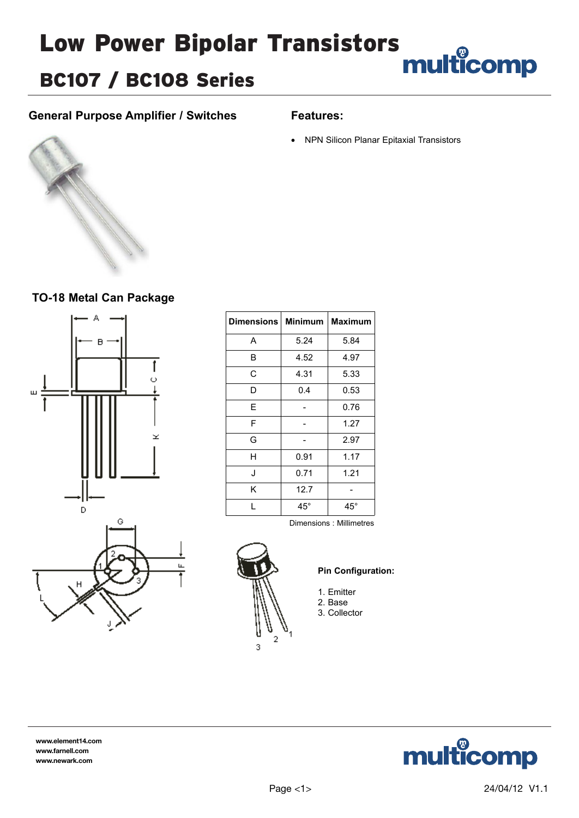# Low Power Bipolar Transistors<br>
multicomp

# BC107 / BC108 Series

### **General Purpose Amplifier / Switches**

#### **Features:**

• NPN Silicon Planar Epitaxial Transistors



### **TO-18 Metal Can Package**



| <b>Dimensions</b> | <b>Minimum</b> | Maximum      |  |
|-------------------|----------------|--------------|--|
| A                 | 5.24           | 5.84         |  |
| B                 | 4.52           | 4.97         |  |
| C                 | 4.31           | 5.33         |  |
| D                 | 0.4            | 0.53         |  |
| E                 |                | 0.76         |  |
| F                 |                | 1.27         |  |
| G                 |                | 2.97         |  |
| н                 | 0.91           | 1.17         |  |
| J                 | 0.71           | 1.21         |  |
| Κ                 | 12.7           |              |  |
| L                 | $45^{\circ}$   | $45^{\circ}$ |  |

Dimensions : Millimetres



#### **Pin Configuration:**

- 1. Emitter
- 2. Base
- 3. Collector



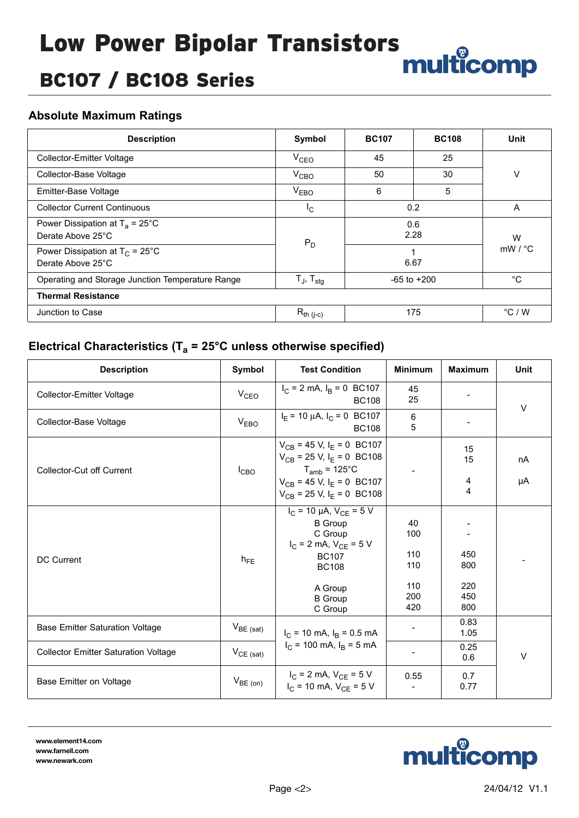# BC107 / BC108 Series

### **Absolute Maximum Ratings**

| <b>Description</b>                                             | Symbol                                                       | <b>BC107</b>    | <b>BC108</b> | Unit                    |  |  |
|----------------------------------------------------------------|--------------------------------------------------------------|-----------------|--------------|-------------------------|--|--|
| Collector-Emitter Voltage                                      | V <sub>CEO</sub>                                             | 45              | 25           |                         |  |  |
| Collector-Base Voltage                                         | $V_{CBO}$                                                    | 50              | 30           | V                       |  |  |
| Emitter-Base Voltage                                           | V <sub>EBO</sub>                                             | 5               |              |                         |  |  |
| <b>Collector Current Continuous</b>                            | $I_{\rm C}$                                                  | 0.2             |              | A                       |  |  |
| Power Dissipation at $T_a = 25^{\circ}$ C<br>Derate Above 25°C | $P_D$                                                        | 0.6<br>2.28     |              | W<br>$mW / {}^{\circ}C$ |  |  |
| Power Dissipation at $T_C = 25^{\circ}C$<br>Derate Above 25°C  |                                                              | 6.67            |              |                         |  |  |
| Operating and Storage Junction Temperature Range               | $T_J$ , $T_{\text{stg}}$                                     | $-65$ to $+200$ |              | $^{\circ}C$             |  |  |
| <b>Thermal Resistance</b>                                      |                                                              |                 |              |                         |  |  |
| Junction to Case                                               | $\mathsf{R}_{\mathsf{th} \; (\mathsf{j}\text{-}\mathsf{c})}$ | 175             |              | $\degree$ C / W         |  |  |

## **Electrical Characteristics (Ta = 25°C unless otherwise specified)**

| <b>Description</b>                          | Symbol            | <b>Test Condition</b>                                                                                                                                                                                 | <b>Minimum</b>                               | <b>Maximum</b>                  | Unit     |  |
|---------------------------------------------|-------------------|-------------------------------------------------------------------------------------------------------------------------------------------------------------------------------------------------------|----------------------------------------------|---------------------------------|----------|--|
| <b>Collector-Emitter Voltage</b>            | V <sub>CEO</sub>  | $I_C = 2$ mA, $I_B = 0$ BC107<br><b>BC108</b>                                                                                                                                                         | 45<br>25                                     |                                 | $\vee$   |  |
| Collector-Base Voltage                      | V <sub>EBO</sub>  | $I_E$ = 10 µA, $I_C$ = 0 BC107<br><b>BC108</b>                                                                                                                                                        | 6<br>5                                       |                                 |          |  |
| <b>Collector-Cut off Current</b>            | $I_{CBO}$         | $V_{CB}$ = 45 V, I <sub>E</sub> = 0 BC107<br>$V_{CB}$ = 25 V, I <sub>E</sub> = 0 BC108<br>$T_{amb}$ = 125°C<br>$V_{CB}$ = 45 V, I <sub>E</sub> = 0 BC107<br>$V_{CB}$ = 25 V, I <sub>E</sub> = 0 BC108 |                                              | 15<br>15<br>4<br>4              | nA<br>μA |  |
| <b>DC Current</b>                           | $h_{FE}$          | $I_C = 10 \mu A$ , $V_{CE} = 5 V$<br><b>B</b> Group<br>C Group<br>$I_C = 2$ mA, $V_{CE} = 5$ V<br><b>BC107</b><br><b>BC108</b><br>A Group<br><b>B</b> Group<br>C Group                                | 40<br>100<br>110<br>110<br>110<br>200<br>420 | 450<br>800<br>220<br>450<br>800 |          |  |
| <b>Base Emitter Saturation Voltage</b>      | $V_{BE \; (sat)}$ | $I_C$ = 10 mA, $I_B$ = 0.5 mA                                                                                                                                                                         |                                              | 0.83<br>1.05                    |          |  |
| <b>Collector Emitter Saturation Voltage</b> | $V_{CE (sat)}$    | $I_C$ = 100 mA, $I_B$ = 5 mA                                                                                                                                                                          |                                              | 0.25<br>0.6                     | $\vee$   |  |
| Base Emitter on Voltage                     | $V_{BE (on)}$     | $I_C = 2$ mA, $V_{CE} = 5$ V<br>$I_C$ = 10 mA, $V_{CE}$ = 5 V                                                                                                                                         | 0.55                                         | 0.7<br>0.77                     |          |  |